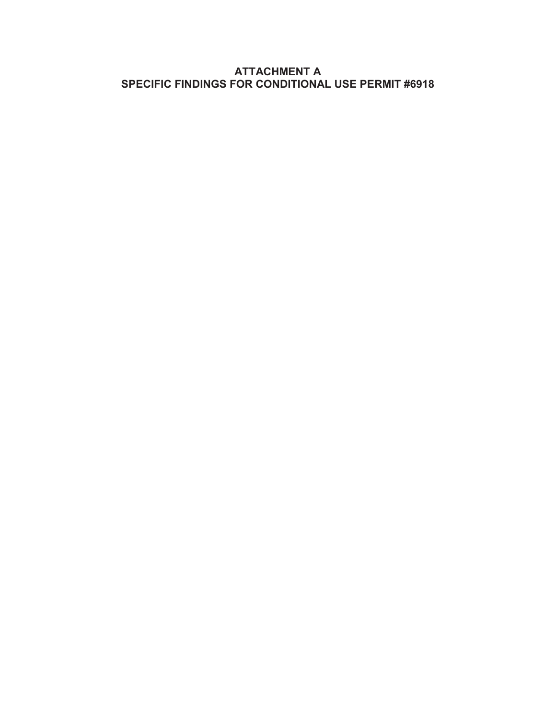## **ATTACHMENT A SPECIFIC FINDINGS FOR CONDITIONAL USE PERMIT #6918**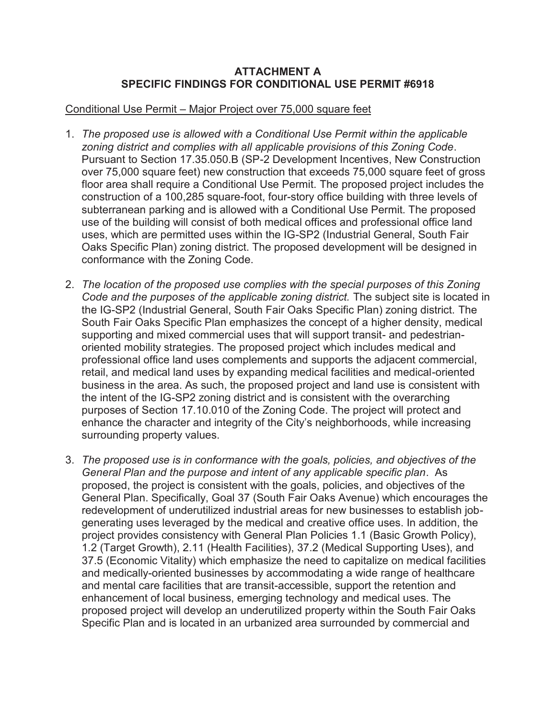## **ATTACHMENT A SPECIFIC FINDINGS FOR CONDITIONAL USE PERMIT #6918**

## Conditional Use Permit – Major Project over 75,000 square feet

- 1. *The proposed use is allowed with a Conditional Use Permit within the applicable zoning district and complies with all applicable provisions of this Zoning Code*. Pursuant to Section 17.35.050.B (SP-2 Development Incentives, New Construction over 75,000 square feet) new construction that exceeds 75,000 square feet of gross floor area shall require a Conditional Use Permit. The proposed project includes the construction of a 100,285 square-foot, four-story office building with three levels of subterranean parking and is allowed with a Conditional Use Permit. The proposed use of the building will consist of both medical offices and professional office land uses, which are permitted uses within the IG-SP2 (Industrial General, South Fair Oaks Specific Plan) zoning district. The proposed development will be designed in conformance with the Zoning Code.
- 2. *The location of the proposed use complies with the special purposes of this Zoning Code and the purposes of the applicable zoning district.* The subject site is located in the IG-SP2 (Industrial General, South Fair Oaks Specific Plan) zoning district. The South Fair Oaks Specific Plan emphasizes the concept of a higher density, medical supporting and mixed commercial uses that will support transit- and pedestrianoriented mobility strategies. The proposed project which includes medical and professional office land uses complements and supports the adjacent commercial, retail, and medical land uses by expanding medical facilities and medical-oriented business in the area. As such, the proposed project and land use is consistent with the intent of the IG-SP2 zoning district and is consistent with the overarching purposes of Section 17.10.010 of the Zoning Code. The project will protect and enhance the character and integrity of the City's neighborhoods, while increasing surrounding property values.
- 3. *The proposed use is in conformance with the goals, policies, and objectives of the General Plan and the purpose and intent of any applicable specific plan*. As proposed, the project is consistent with the goals, policies, and objectives of the General Plan. Specifically, Goal 37 (South Fair Oaks Avenue) which encourages the redevelopment of underutilized industrial areas for new businesses to establish jobgenerating uses leveraged by the medical and creative office uses. In addition, the project provides consistency with General Plan Policies 1.1 (Basic Growth Policy), 1.2 (Target Growth), 2.11 (Health Facilities), 37.2 (Medical Supporting Uses), and 37.5 (Economic Vitality) which emphasize the need to capitalize on medical facilities and medically-oriented businesses by accommodating a wide range of healthcare and mental care facilities that are transit-accessible, support the retention and enhancement of local business, emerging technology and medical uses. The proposed project will develop an underutilized property within the South Fair Oaks Specific Plan and is located in an urbanized area surrounded by commercial and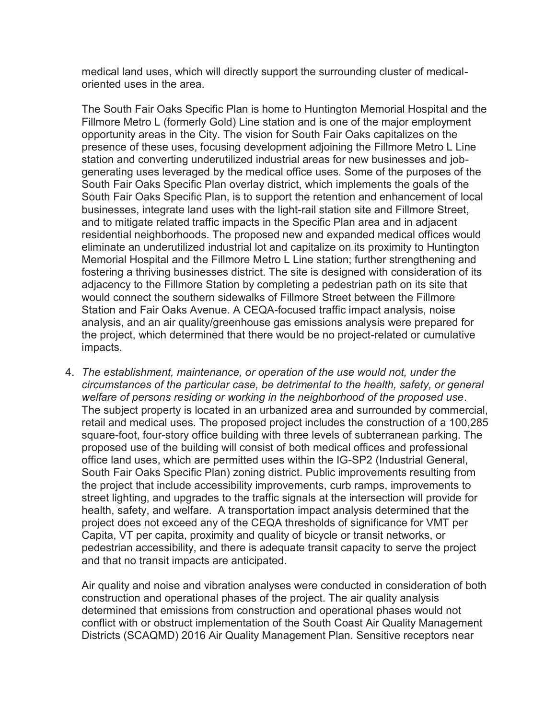medical land uses, which will directly support the surrounding cluster of medicaloriented uses in the area.

The South Fair Oaks Specific Plan is home to Huntington Memorial Hospital and the Fillmore Metro L (formerly Gold) Line station and is one of the major employment opportunity areas in the City. The vision for South Fair Oaks capitalizes on the presence of these uses, focusing development adjoining the Fillmore Metro L Line station and converting underutilized industrial areas for new businesses and jobgenerating uses leveraged by the medical office uses. Some of the purposes of the South Fair Oaks Specific Plan overlay district, which implements the goals of the South Fair Oaks Specific Plan, is to support the retention and enhancement of local businesses, integrate land uses with the light-rail station site and Fillmore Street, and to mitigate related traffic impacts in the Specific Plan area and in adjacent residential neighborhoods. The proposed new and expanded medical offices would eliminate an underutilized industrial lot and capitalize on its proximity to Huntington Memorial Hospital and the Fillmore Metro L Line station; further strengthening and fostering a thriving businesses district. The site is designed with consideration of its adjacency to the Fillmore Station by completing a pedestrian path on its site that would connect the southern sidewalks of Fillmore Street between the Fillmore Station and Fair Oaks Avenue. A CEQA-focused traffic impact analysis, noise analysis, and an air quality/greenhouse gas emissions analysis were prepared for the project, which determined that there would be no project-related or cumulative impacts.

4. *The establishment, maintenance, or operation of the use would not, under the circumstances of the particular case, be detrimental to the health, safety, or general welfare of persons residing or working in the neighborhood of the proposed use*. The subject property is located in an urbanized area and surrounded by commercial, retail and medical uses. The proposed project includes the construction of a 100,285 square-foot, four-story office building with three levels of subterranean parking. The proposed use of the building will consist of both medical offices and professional office land uses, which are permitted uses within the IG-SP2 (Industrial General, South Fair Oaks Specific Plan) zoning district. Public improvements resulting from the project that include accessibility improvements, curb ramps, improvements to street lighting, and upgrades to the traffic signals at the intersection will provide for health, safety, and welfare. A transportation impact analysis determined that the project does not exceed any of the CEQA thresholds of significance for VMT per Capita, VT per capita, proximity and quality of bicycle or transit networks, or pedestrian accessibility, and there is adequate transit capacity to serve the project and that no transit impacts are anticipated.

Air quality and noise and vibration analyses were conducted in consideration of both construction and operational phases of the project. The air quality analysis determined that emissions from construction and operational phases would not conflict with or obstruct implementation of the South Coast Air Quality Management Districts (SCAQMD) 2016 Air Quality Management Plan. Sensitive receptors near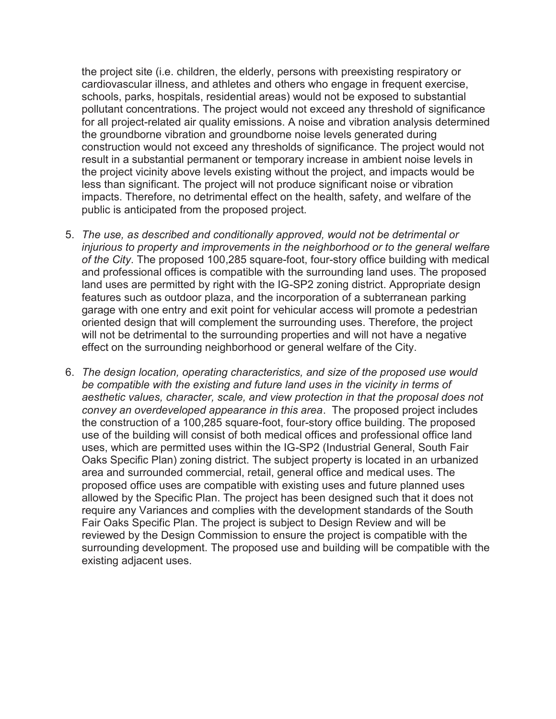the project site (i.e. children, the elderly, persons with preexisting respiratory or cardiovascular illness, and athletes and others who engage in frequent exercise, schools, parks, hospitals, residential areas) would not be exposed to substantial pollutant concentrations. The project would not exceed any threshold of significance for all project-related air quality emissions. A noise and vibration analysis determined the groundborne vibration and groundborne noise levels generated during construction would not exceed any thresholds of significance. The project would not result in a substantial permanent or temporary increase in ambient noise levels in the project vicinity above levels existing without the project, and impacts would be less than significant. The project will not produce significant noise or vibration impacts. Therefore, no detrimental effect on the health, safety, and welfare of the public is anticipated from the proposed project.

- 5. *The use, as described and conditionally approved, would not be detrimental or injurious to property and improvements in the neighborhood or to the general welfare of the City*. The proposed 100,285 square-foot, four-story office building with medical and professional offices is compatible with the surrounding land uses. The proposed land uses are permitted by right with the IG-SP2 zoning district. Appropriate design features such as outdoor plaza, and the incorporation of a subterranean parking garage with one entry and exit point for vehicular access will promote a pedestrian oriented design that will complement the surrounding uses. Therefore, the project will not be detrimental to the surrounding properties and will not have a negative effect on the surrounding neighborhood or general welfare of the City.
- 6. *The design location, operating characteristics, and size of the proposed use would be compatible with the existing and future land uses in the vicinity in terms of aesthetic values, character, scale, and view protection in that the proposal does not convey an overdeveloped appearance in this area*. The proposed project includes the construction of a 100,285 square-foot, four-story office building. The proposed use of the building will consist of both medical offices and professional office land uses, which are permitted uses within the IG-SP2 (Industrial General, South Fair Oaks Specific Plan) zoning district. The subject property is located in an urbanized area and surrounded commercial, retail, general office and medical uses. The proposed office uses are compatible with existing uses and future planned uses allowed by the Specific Plan. The project has been designed such that it does not require any Variances and complies with the development standards of the South Fair Oaks Specific Plan. The project is subject to Design Review and will be reviewed by the Design Commission to ensure the project is compatible with the surrounding development. The proposed use and building will be compatible with the existing adjacent uses.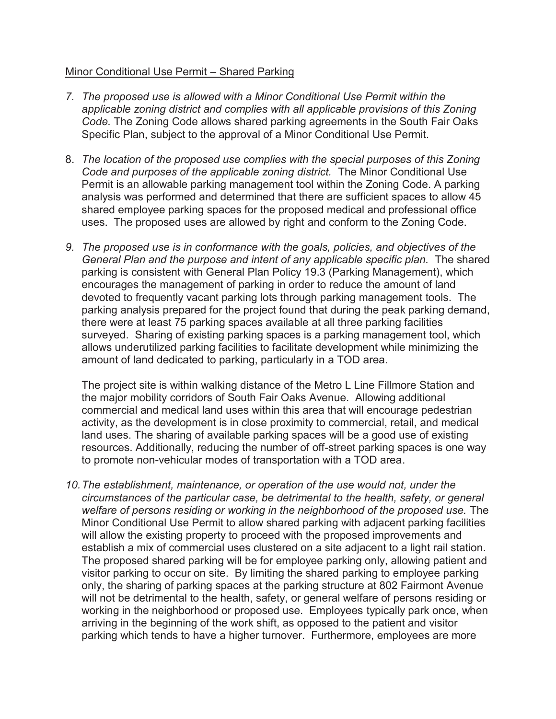## Minor Conditional Use Permit – Shared Parking

- *7. The proposed use is allowed with a Minor Conditional Use Permit within the applicable zoning district and complies with all applicable provisions of this Zoning Code.* The Zoning Code allows shared parking agreements in the South Fair Oaks Specific Plan, subject to the approval of a Minor Conditional Use Permit.
- 8. *The location of the proposed use complies with the special purposes of this Zoning Code and purposes of the applicable zoning district.* The Minor Conditional Use Permit is an allowable parking management tool within the Zoning Code. A parking analysis was performed and determined that there are sufficient spaces to allow 45 shared employee parking spaces for the proposed medical and professional office uses. The proposed uses are allowed by right and conform to the Zoning Code.
- *9. The proposed use is in conformance with the goals, policies, and objectives of the General Plan and the purpose and intent of any applicable specific plan.* The shared parking is consistent with General Plan Policy 19.3 (Parking Management), which encourages the management of parking in order to reduce the amount of land devoted to frequently vacant parking lots through parking management tools. The parking analysis prepared for the project found that during the peak parking demand, there were at least 75 parking spaces available at all three parking facilities surveyed. Sharing of existing parking spaces is a parking management tool, which allows underutilized parking facilities to facilitate development while minimizing the amount of land dedicated to parking, particularly in a TOD area.

The project site is within walking distance of the Metro L Line Fillmore Station and the major mobility corridors of South Fair Oaks Avenue. Allowing additional commercial and medical land uses within this area that will encourage pedestrian activity, as the development is in close proximity to commercial, retail, and medical land uses. The sharing of available parking spaces will be a good use of existing resources. Additionally, reducing the number of off-street parking spaces is one way to promote non-vehicular modes of transportation with a TOD area.

10. The establishment, maintenance, or operation of the use would not, under the *circumstances of the particular case, be detrimental to the health, safety, or general welfare of persons residing or working in the neighborhood of the proposed use.* The Minor Conditional Use Permit to allow shared parking with adjacent parking facilities will allow the existing property to proceed with the proposed improvements and establish a mix of commercial uses clustered on a site adjacent to a light rail station. The proposed shared parking will be for employee parking only, allowing patient and visitor parking to occur on site. By limiting the shared parking to employee parking only, the sharing of parking spaces at the parking structure at 802 Fairmont Avenue will not be detrimental to the health, safety, or general welfare of persons residing or working in the neighborhood or proposed use. Employees typically park once, when arriving in the beginning of the work shift, as opposed to the patient and visitor parking which tends to have a higher turnover. Furthermore, employees are more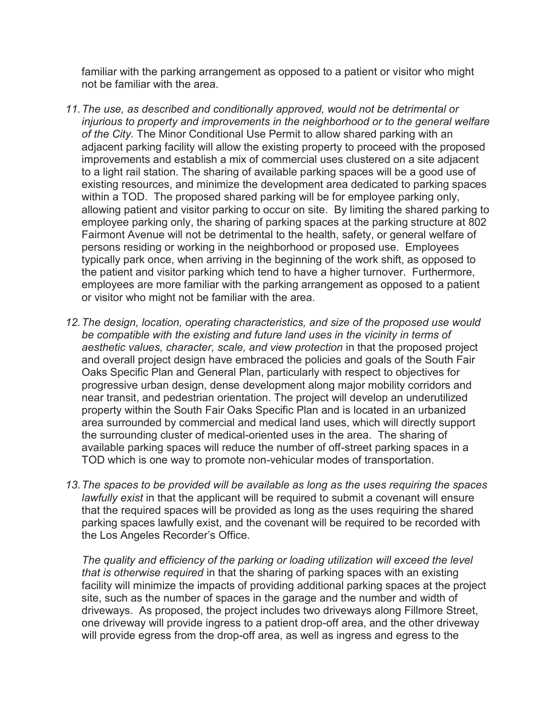familiar with the parking arrangement as opposed to a patient or visitor who might not be familiar with the area.

- *11. The use, as described and conditionally approved, would not be detrimental or injurious to property and improvements in the neighborhood or to the general welfare of the City.* The Minor Conditional Use Permit to allow shared parking with an adjacent parking facility will allow the existing property to proceed with the proposed improvements and establish a mix of commercial uses clustered on a site adjacent to a light rail station. The sharing of available parking spaces will be a good use of existing resources, and minimize the development area dedicated to parking spaces within a TOD. The proposed shared parking will be for employee parking only, allowing patient and visitor parking to occur on site. By limiting the shared parking to employee parking only, the sharing of parking spaces at the parking structure at 802 Fairmont Avenue will not be detrimental to the health, safety, or general welfare of persons residing or working in the neighborhood or proposed use. Employees typically park once, when arriving in the beginning of the work shift, as opposed to the patient and visitor parking which tend to have a higher turnover. Furthermore, employees are more familiar with the parking arrangement as opposed to a patient or visitor who might not be familiar with the area.
- *12. The design, location, operating characteristics, and size of the proposed use would be compatible with the existing and future land uses in the vicinity in terms of*  aesthetic values, character, scale, and view protection in that the proposed project and overall project design have embraced the policies and goals of the South Fair Oaks Specific Plan and General Plan, particularly with respect to objectives for progressive urban design, dense development along major mobility corridors and near transit, and pedestrian orientation. The project will develop an underutilized property within the South Fair Oaks Specific Plan and is located in an urbanized area surrounded by commercial and medical land uses, which will directly support the surrounding cluster of medical-oriented uses in the area. The sharing of available parking spaces will reduce the number of off-street parking spaces in a TOD which is one way to promote non-vehicular modes of transportation.
- *13. The spaces to be provided will be available as long as the uses requiring the spaces lawfully exist* in that the applicant will be required to submit a covenant will ensure that the required spaces will be provided as long as the uses requiring the shared parking spaces lawfully exist, and the covenant will be required to be recorded with the Los Angeles Recorder's Office.

*The quality and efficiency of the parking or loading utilization will exceed the level that is otherwise required* in that the sharing of parking spaces with an existing facility will minimize the impacts of providing additional parking spaces at the project site, such as the number of spaces in the garage and the number and width of driveways. As proposed, the project includes two driveways along Fillmore Street, one driveway will provide ingress to a patient drop-off area, and the other driveway will provide egress from the drop-off area, as well as ingress and egress to the